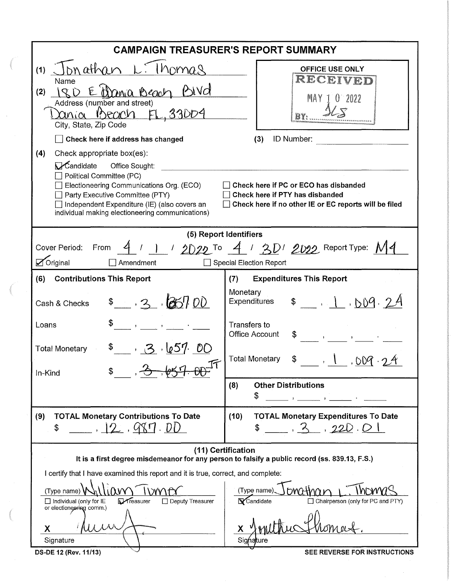|                                                                                                                                                                                                                                                                                            | <b>CAMPAIGN TREASURER'S REPORT SUMMARY</b>                                                                                        |
|--------------------------------------------------------------------------------------------------------------------------------------------------------------------------------------------------------------------------------------------------------------------------------------------|-----------------------------------------------------------------------------------------------------------------------------------|
| Jonathan L <sub>1</sub> thomas<br>(1)<br>Name<br>Einania Beach Bivd<br>$\cup$ $\mathcal{L}$<br>(2)<br>Address (number and street)<br><u>Xania Beach FL, 33004</u><br>City, State, Zip Code<br>Check here if address has changed                                                            | <b>OFFICE USE ONLY</b><br>RECEIVED<br>MAY 1<br>0.2022<br>(3)<br>ID Number:                                                        |
| Check appropriate box(es):<br>(4)<br>Mandidate Office Sought:<br>$\Box$ Political Committee (PC)<br>$\Box$ Electioneering Communications Org. (ECO)<br>Party Executive Committee (PTY)<br>Independent Expenditure (IE) (also covers an<br>individual making electioneering communications) | Check here if PC or ECO has disbanded<br>Check here if PTY has disbanded<br>Check here if no other IE or EC reports will be filed |
|                                                                                                                                                                                                                                                                                            | (5) Report Identifiers                                                                                                            |
| Cover Period: From<br>$\sqrt{\phantom{a}}$ Original<br>Amendment                                                                                                                                                                                                                           | $4$ / 1 / 2022 To $4$ / 201 2022 Report Type: M4<br>Special Election Report                                                       |
| <b>Contributions This Report</b><br>(6)                                                                                                                                                                                                                                                    | <b>Expenditures This Report</b><br>(7)                                                                                            |
| \$3.3.100<br>Cash & Checks                                                                                                                                                                                                                                                                 | Monetary<br>Expenditures $\frac{1}{2}$ , 1, 009. 24                                                                               |
| \$<br>Loans                                                                                                                                                                                                                                                                                | <b>Transfers to</b><br><b>Office Account</b><br>$\mathbf{y} = \mathbf{y}$                                                         |
| 3.657.00<br><b>Total Monetary</b><br>$2 - ln(1)$<br>In-Kind                                                                                                                                                                                                                                | <b>Total Monetary</b><br>\$ 1,009.2                                                                                               |
|                                                                                                                                                                                                                                                                                            | <b>Other Distributions</b><br>(8)<br>\$                                                                                           |
| <b>TOTAL Monetary Contributions To Date</b><br>(9)<br>12,987.00<br>\$                                                                                                                                                                                                                      | <b>TOTAL Monetary Expenditures To Date</b><br>(10)<br>, 3, 220.01                                                                 |
| It is a first degree misdemeanor for any person to falsify a public record (ss. 839.13, F.S.)                                                                                                                                                                                              | (11) Certification                                                                                                                |
| I certify that I have examined this report and it is true, correct, and complete:                                                                                                                                                                                                          |                                                                                                                                   |
| (Type name)<br>Treasurer<br>$\Box$ Deputy Treasurer<br>$\Box$ Individual (only for IE<br>or electioneering comm.)                                                                                                                                                                          | mathar<br>(Type name)<br>Candidate<br>$\Box$ Chairperson (only for PC and PTY)                                                    |
| X<br>Signature                                                                                                                                                                                                                                                                             | х<br>Signature                                                                                                                    |
| DS-DE 12 (Rev. 11/13)                                                                                                                                                                                                                                                                      | SEE REVERSE FOR INSTRUCTIONS                                                                                                      |

**REVERSE FOR INSTRUCTIONS**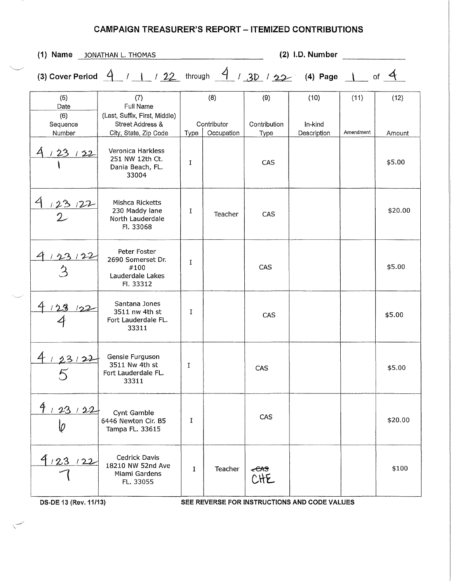| $(1)$ Name                               | JONATHAN L. THOMAS                                                                                                      |              |                                  |                             | (2) I.D. Number                |                   |                |
|------------------------------------------|-------------------------------------------------------------------------------------------------------------------------|--------------|----------------------------------|-----------------------------|--------------------------------|-------------------|----------------|
|                                          | (3) Cover Period $\frac{4}{11}$ / $\frac{12}{22}$ through $\frac{4}{130}$ / $\frac{3}{22}$ (4) Page 1 of $\frac{4}{12}$ |              |                                  |                             |                                |                   |                |
| (5)<br>Date<br>(6)<br>Sequence<br>Number | (7)<br><b>Full Name</b><br>(Last, Suffix, First, Middle)<br>Street Address &<br>City, State, Zip Code                   | Type         | (8)<br>Contributor<br>Occupation | (9)<br>Contribution<br>Type | (10)<br>In-kind<br>Description | (11)<br>Amendment | (12)<br>Amount |
| 23122                                    | Veronica Harkless<br>251 NW 12th Ct.<br>Dania Beach, FL.<br>33004                                                       | I            |                                  | CAS                         |                                |                   | \$5.00         |
| $\mathcal{A}$<br>123122                  | Mishca Ricketts<br>230 Maddy lane<br>North Lauderdale<br>Fl. 33068                                                      | 1            | Teacher                          | CAS                         |                                |                   | \$20.00        |
| 23122                                    | Peter Foster<br>2690 Somerset Dr.<br>#100<br>Lauderdale Lakes<br>Fl. 33312                                              | $\mathbf I$  |                                  | CAS                         |                                |                   | \$5.00         |
| 123<br>122                               | Santana Jones<br>3511 nw 4th st<br>Fort Lauderdale FL.<br>33311                                                         | $\bf{I}$     |                                  | CAS                         |                                |                   | \$5.00         |
| 2.3122                                   | Gensie Furguson<br>3511 Nw 4th st<br>Fort Lauderdale FL.<br>33311                                                       | Ι            |                                  | CAS                         |                                |                   | \$5.00         |
| 4123122<br>Ø                             | Cynt Gamble<br>6446 Newton Cir. B5<br>Tampa FL. 33615                                                                   | I            |                                  | CAS                         |                                |                   | \$20.00        |
| 412312                                   | Cedrick Davis<br>18210 NW 52nd Ave<br>Miami Gardens<br>FL. 33055                                                        | $\mathbf{I}$ | Teacher                          | <del>cas</del><br>CHE       |                                |                   | \$100          |

 $\checkmark$ 

DS-DE 13 (Rev. 11/13) SEE REVERSE FOR INSTRUCTIONS AND CODE VALUES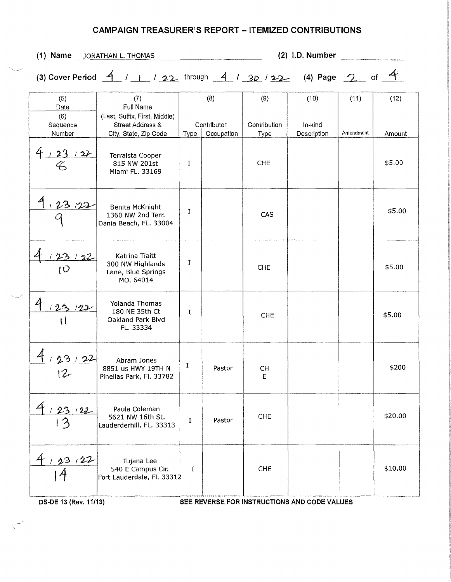$(2)$  I.D. Number (1) Name JONATHAN L. THOMAS (3) Cover Period  $\frac{4}{1}$  / 1 / 22 through  $\frac{4}{1}$  / 3D / 22 (4) Page 2 of  $\frac{4}{1}$  $(7)$  $(8)$  $(9)$  $(10)$  $(11)$  $(5)$  $(12)$ Date Full Name  $(6)$ (Last, Suffix, First, Middle) Street Address & Contributor Contribution In-kind Sequence Number City, State, Zip Code Type | Occupation Description Amendment Type Amount  $123122$ **Terraista Cooper** \$5.00 815 NW 201st  $\rm I$ **CHE** Miami FL. 33169  $125$ Benita McKnight \$5.00  $\mathbf I$ 1360 NW 2nd Terr. CAS Dania Beach, FL. 33004 Katrina Tiaitt  $\mathbf{I}$ 300 NW Highlands \$5.00 **CHE** 1 Q Lane, Blue Springs MO. 64014 **Yolanda Thomas**  $123$  $122$ 180 NE 35th Ct  $\mathbf I$ \$5.00 CHE Oakland Park Blvd U FL. 33334  $22$ Abram Jones  $\mathbf I$ \$200 8851 us HWY 19TH N Pastor CH  $12$ Pinellas Park, Fl. 33782  $\mathsf E$ 4 Paula Coleman  $123122$ **CHE** \$20.00 5621 NW 16th St. Pastor  $\bf I$  $13$ Lauderderhill, FL. 33313  $4,23,22$ Tujana Lee 540 E Campus Cir. \$10.00 **CHE**  $\mathbf I$ Fort Lauderdale, Fl. 33312

DS-DE 13 (Rev. 11/13)

SEE REVERSE FOR INSTRUCTIONS AND CODE VALUES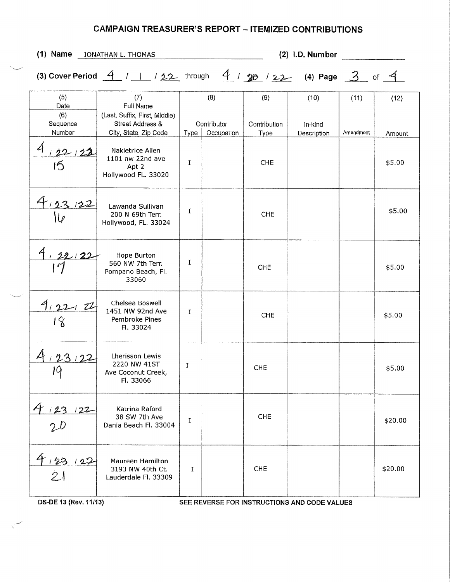| $(1)$ Name                               | JONATHAN L. THOMAS                                                                                        |      |                                  |                             | $(2)$ I.D. Number              |                   |                |
|------------------------------------------|-----------------------------------------------------------------------------------------------------------|------|----------------------------------|-----------------------------|--------------------------------|-------------------|----------------|
|                                          | (3) Cover Period $4$ / 1 / 22 through $4$ / 22 / 22 (4) Page 3 of 4                                       |      |                                  |                             |                                |                   |                |
| (5)<br>Date<br>(6)<br>Sequence<br>Number | (7)<br>Full Name<br>(Last, Suffix, First, Middle)<br><b>Street Address &amp;</b><br>City, State, Zip Code | Type | (8)<br>Contributor<br>Occupation | (9)<br>Contribution<br>Type | (10)<br>In-kind<br>Description | (11)<br>Amendment | (12)<br>Amount |
| $\overline{A}$<br>122122<br>15           | Nakietrice Allen<br>1101 nw 22nd ave<br>Apt 2<br>Hollywood FL. 33020                                      | I    |                                  | <b>CHE</b>                  |                                |                   | \$5.00         |
| 4,23,122                                 | Lawanda Sullivan<br>200 N 69th Terr.<br>Hollywood, FL. 33024                                              | I    |                                  | <b>CHE</b>                  |                                |                   | \$5.00         |
| 122/22<br>$\mathcal{L}$                  | Hope Burton<br>560 NW 7th Terr.<br>Pompano Beach, Fl.<br>33060                                            | I    |                                  | <b>CHE</b>                  |                                |                   | \$5.00         |
| 4.22122<br>18                            | Chelsea Boswell<br>1451 NW 92nd Ave<br>Pembroke Pines<br>Fl. 33024                                        | I    |                                  | <b>CHE</b>                  |                                |                   | \$5.00         |
| 23, 22<br>ΙQ                             | Lherisson Lewis<br>2220 NW 41ST<br>Ave Coconut Creek,<br>Fl. 33066                                        | I    |                                  | <b>CHE</b>                  |                                |                   | \$5.00         |
| 4 123 122<br>2D                          | Katrina Raford<br>38 SW 7th Ave<br>Dania Beach Fl. 33004                                                  | 1    |                                  | <b>CHE</b>                  |                                |                   | \$20.00        |
| 4123122<br> 2                            | Maureen Hamilton<br>3193 NW 40th Ct.<br>Lauderdale Fl. 33309                                              | I    |                                  | <b>CHE</b>                  |                                |                   | \$20.00        |

DS-DE 13 (Rev. 11/13)

 $\begin{matrix} \begin{matrix} 1 & 1 \\ 1 & 1 \end{matrix} \end{matrix}$ 

SEE REVERSE FOR INSTRUCTIONS AND CODE VALUES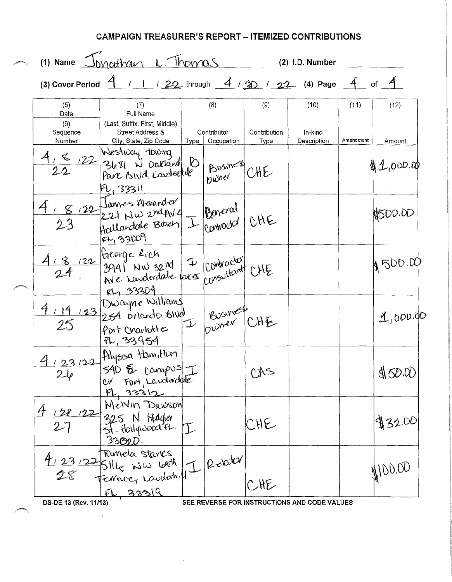|                                          | (1) Name Joycetham L. Thomas                                                                                    |      |                                  |                             | $(2)$ I.D. Number              |                   |                |
|------------------------------------------|-----------------------------------------------------------------------------------------------------------------|------|----------------------------------|-----------------------------|--------------------------------|-------------------|----------------|
|                                          | (3) Cover Period $\frac{4}{11}$ / 1 / 22 through $\frac{4}{130}$ / 22 (4) Page $\frac{4}{11}$ of $\frac{4}{11}$ |      |                                  |                             |                                |                   |                |
| (5)<br>Date<br>(6)<br>Sequence<br>Number | (7)<br>Full Name<br>(Last, Suffix, First, Middle)<br>Street Address &<br>City, State, Zip Code                  | Type | (8)<br>Contributor<br>Occupation | (9)<br>Contribution<br>Type | (10)<br>In-kind<br>Description | (11)<br>Amendment | (12)<br>Amount |
|                                          | $\lesssim$ 122 Mestway twoing<br>2022 3681 W Daklard 0<br>Pare Bivd. Landerfall<br>F1,33311                     |      | Bosiness CHE                     |                             |                                |                   | 42,000.00      |
| 4,8,22                                   | Jannes Hlexander<br>221 NW 2nd AVe J Beneval CHE<br>FL, 33009                                                   |      |                                  |                             |                                |                   | \$500.00       |
| 8122                                     | George Rich<br>3941 NW 32nd I Contractor CHE<br>Ave raviderdate pres consultant CHE<br>EL, 33309                |      |                                  |                             |                                |                   | 8500.00        |
| 4,14,123                                 | Dwayne Williams<br>254 orlando BIVA<br>Port Charlotte<br>FL, 33954                                              |      | I Business                       |                             |                                |                   | 1,000.00       |
| $2\varphi$                               | Alyssa Hun, then<br>Fort, Landerdote<br>Civ<br>PL, 33312                                                        |      |                                  | CAS                         |                                |                   | \$150.00       |
| 128122                                   | MeNIn Dawson<br>325 N. Flagler<br>St. Hollywood fl. I<br>3302D                                                  |      |                                  | CHE                         |                                |                   | \$32.00        |
|                                          | Tomela Stares<br>Sille www loth.<br>FL 33319                                                                    |      | I Related                        | CHE                         |                                |                   | 100.00         |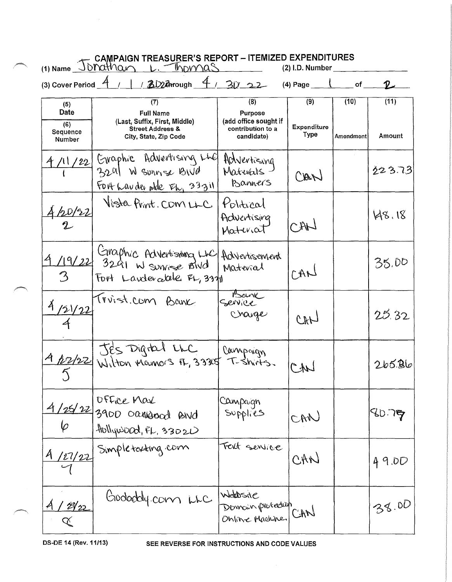|                                                 | CAMPAIGN TREASURER'S REPORT - ITEMIZED EXPENDITURES<br>(1) Name Jonathan L. Thomas (2) I.D. Number               |                                                                            |                            |                   |                   |
|-------------------------------------------------|------------------------------------------------------------------------------------------------------------------|----------------------------------------------------------------------------|----------------------------|-------------------|-------------------|
|                                                 | (3) Cover Period $\frac{4}{1}$ / 3D2 Arrough $\frac{4}{30}$ 22                                                   |                                                                            | (4) Page $\sqrt{ }$        | of                |                   |
| (5)<br>Date<br>(6)<br>Sequence<br><b>Number</b> | (7)<br><b>Full Name</b><br>(Last, Suffix, First, Middle)<br><b>Street Address &amp;</b><br>City, State, Zip Code | (8)<br>Purpose<br>(add office sought if<br>contribution to a<br>candidate) | (9)<br>Expenditure<br>Type | (10)<br>Amendment | (11)<br>Amount    |
| 4/11/22                                         | Graphic Advertising LLC<br>3291 W survise BWd<br>FOR Lavder plde FL, 33311                                       | Advertising<br>Maturals.<br>Banners                                        | CAN                        |                   | 223.73            |
| 120/22                                          | Vista Print. COM LLC                                                                                             | Political<br>Adventising<br>Material                                       | CAN                        |                   | 148.18            |
|                                                 | 119/22 Graphic Advertisions Luc<br>Fort Landerable FL, 33711                                                     | Advertisement<br>Material                                                  | LARJ                       |                   | 35.00             |
| 4/21/22                                         | Trinist.com Bank                                                                                                 | Service<br>Change                                                          | CHO                        |                   | 25.32             |
|                                                 | 4 12/22 Wilton Mamors FL, 33305 T-Shirts.                                                                        |                                                                            |                            |                   | 265.86            |
|                                                 | OFFice Max<br>4/25/22 3900 carriagood and<br>$H\nolimits_{\text{sub}}$ $\Omega$                                  | Campaign<br>Supplies                                                       | CAN                        |                   | 80.7 <del>5</del> |
|                                                 | 4/27/22 Simpletexting.com                                                                                        | Text sensice                                                               | CAN                        |                   | 49.DD             |
| <u>128/22</u><br>$\alpha$                       | Goodacly.com LLC                                                                                                 | Webbsite<br>Domain protection<br>Online Machine CAN                        |                            |                   | 38.00             |